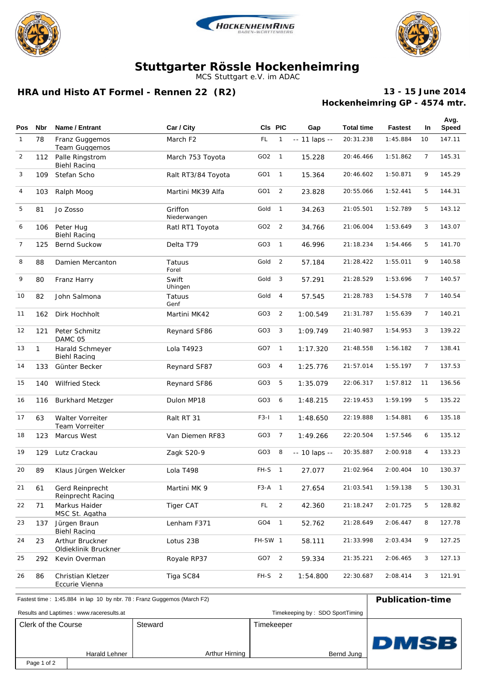





## **Stuttgarter Rössle Hockenheimring**

MCS Stuttgart e.V. im ADAC

### **HRA und Histo AT Formel - Rennen 22 (R2)**

#### **Hockenheimring GP - 4574 mtr. 13 - 15 June 2014**

|              |              |                                         |                         |                   |                          |                  |                   |          |                | Avg.   |
|--------------|--------------|-----------------------------------------|-------------------------|-------------------|--------------------------|------------------|-------------------|----------|----------------|--------|
| <b>Pos</b>   | <b>Nbr</b>   | Name / Entrant                          | Car / City              | CIs PIC           |                          | Gap              | <b>Total time</b> | Fastest  | In             | Speed  |
| $\mathbf{1}$ | 78           | Franz Guggemos<br><b>Team Guggemos</b>  | March F <sub>2</sub>    | FL.               | $\mathbf{1}$             | $- 11$ laps $- $ | 20:31.238         | 1:45.884 | 10             | 147.11 |
| 2            | 112          | Palle Ringstrom<br><b>Biehl Racing</b>  | March 753 Toyota        | GO <sub>2</sub>   | $\overline{1}$           | 15.228           | 20:46.466         | 1:51.862 | $\overline{7}$ | 145.31 |
| 3            | 109          | Stefan Scho                             | Ralt RT3/84 Toyota      | GO <sub>1</sub>   | $\overline{1}$           | 15.364           | 20:46.602         | 1:50.871 | 9              | 145.29 |
| 4            | 103          | Ralph Moog                              | Martini MK39 Alfa       | GO <sub>1</sub>   | $\overline{2}$           | 23.828           | 20:55.066         | 1:52.441 | 5              | 144.31 |
| 5            | 81           | Jo Zosso                                | Griffon<br>Niederwangen | Gold              | $\overline{1}$           | 34.263           | 21:05.501         | 1:52.789 | 5              | 143.12 |
| 6            | 106          | Peter Hug<br><b>Biehl Racing</b>        | Ratl RT1 Toyota         | GO <sub>2</sub>   | $\overline{2}$           | 34.766           | 21:06.004         | 1:53.649 | 3              | 143.07 |
| 7            | 125          | Bernd Suckow                            | Delta T79               | GO <sub>3</sub>   | $\overline{1}$           | 46.996           | 21:18.234         | 1:54.466 | 5              | 141.70 |
| 8            | 88           | Damien Mercanton                        | Tatuus<br>Forel         | Gold              | 2                        | 57.184           | 21:28.422         | 1:55.011 | 9              | 140.58 |
| 9            | 80           | Franz Harry                             | Swift<br>Uhingen        | Gold              | 3                        | 57.291           | 21:28.529         | 1:53.696 | 7              | 140.57 |
| 10           | 82           | John Salmona                            | Tatuus<br>Genf          | Gold              | $\overline{4}$           | 57.545           | 21:28.783         | 1:54.578 | $\overline{7}$ | 140.54 |
| 11           | 162          | Dirk Hochholt                           | Martini MK42            | GO3               | $\overline{2}$           | 1:00.549         | 21:31.787         | 1:55.639 | 7              | 140.21 |
| 12           | 121          | Peter Schmitz<br>DAMC 05                | Reynard SF86            | GO3               | 3                        | 1:09.749         | 21:40.987         | 1:54.953 | 3              | 139.22 |
| 13           | $\mathbf{1}$ | Harald Schmeyer<br><b>Biehl Racing</b>  | Lola T4923              | GO7               | $\overline{1}$           | 1:17.320         | 21:48.558         | 1:56.182 | $\overline{7}$ | 138.41 |
| 14           | 133          | Günter Becker                           | Reynard SF87            | GO3               | 4                        | 1:25.776         | 21:57.014         | 1:55.197 | $\overline{7}$ | 137.53 |
| 15           | 140          | <b>Wilfried Steck</b>                   | Reynard SF86            | GO <sub>3</sub>   | 5                        | 1:35.079         | 22:06.317         | 1:57.812 | 11             | 136.56 |
| 16           | 116          | <b>Burkhard Metzger</b>                 | Dulon MP18              | GO3               | 6                        | 1:48.215         | 22:19.453         | 1:59.199 | 5              | 135.22 |
| 17           | 63           | Walter Vorreiter<br>Team Vorreiter      | Ralt RT 31              | $F3-I$            | $\overline{1}$           | 1:48.650         | 22:19.888         | 1:54.881 | 6              | 135.18 |
| 18           | 123          | Marcus West                             | Van Diemen RF83         | GO3               | $\overline{7}$           | 1:49.266         | 22:20.504         | 1:57.546 | 6              | 135.12 |
| 19           | 129          | Lutz Crackau                            | Zagk S20-9              | GO3               | 8                        | -- 10 laps --    | 20:35.887         | 2:00.918 | 4              | 133.23 |
| 20           | 89           | Klaus Jürgen Welcker                    | Lola T498               | FH-S              | $\overline{1}$           | 27.077           | 21:02.964         | 2:00.404 | 10             | 130.37 |
| 21           | 61           | Gerd Reinprecht<br>Reinprecht Racing    | Martini MK 9            | F3-A              | $\overline{\phantom{0}}$ | 27.654           | 21:03.541         | 1:59.138 | 5              | 130.31 |
| 22           | 71           | Markus Haider<br>MSC St. Agatha         | Tiger CAT               | $\mathsf{FL}$     | $\overline{2}$           | 42.360           | 21:18.247         | 2:01.725 | 5              | 128.82 |
| 23           | 137          | Jürgen Braun<br><b>Biehl Racing</b>     | Lenham F371             | GO4               | $\overline{1}$           | 52.762           | 21:28.649         | 2:06.447 | 8              | 127.78 |
| 24           | 23           | Arthur Bruckner<br>Oldieklinik Bruckner | Lotus 23B               | FH-SW 1           |                          | 58.111           | 21:33.998         | 2:03.434 | 9              | 127.25 |
| 25           | 292          | Kevin Overman                           | Royale RP37             | GO7               | $\overline{2}$           | 59.334           | 21:35.221         | 2:06.465 | 3              | 127.13 |
| 26           | 86           | Christian Kletzer<br>Eccurie Vienna     | Tiga SC84               | FH-S <sub>2</sub> |                          | 1:54.800         | 22:30.687         | 2:08.414 | 3              | 121.91 |

| Fastest time: 1:45.884 in lap 10 by nbr. 78 : Franz Guggemos (March F2) | <b>Publication-time</b> |                |            |       |
|-------------------------------------------------------------------------|-------------------------|----------------|------------|-------|
| Results and Laptimes: www.raceresults.at                                |                         |                |            |       |
| Clerk of the Course                                                     |                         | Steward        | Timekeeper |       |
|                                                                         | Harald Lehner           | Arthur Hirning | Bernd Jung | IDMSB |
| Page 1 of 2                                                             |                         |                |            |       |